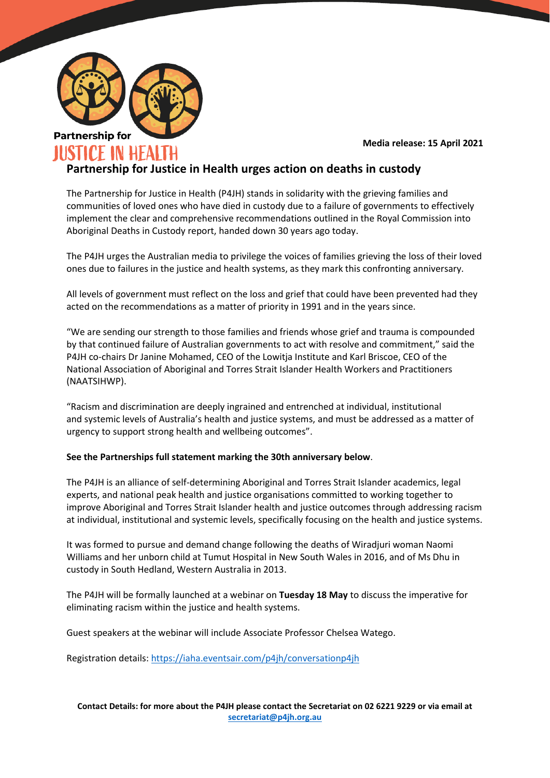

#### **Media release: 15 April 2021**

# **Partnership for Justice in Health urges action on deaths in custody**

The Partnership for Justice in Health (P4JH) stands in solidarity with the grieving families and communities of loved ones who have died in custody due to a failure of governments to effectively implement the clear and comprehensive recommendations outlined in the Royal Commission into Aboriginal Deaths in Custody report, handed down 30 years ago today.

The P4JH urges the Australian media to privilege the voices of families grieving the loss of their loved ones due to failures in the justice and health systems, as they mark this confronting anniversary.

All levels of government must reflect on the loss and grief that could have been prevented had they acted on the recommendations as a matter of priority in 1991 and in the years since.

"We are sending our strength to those families and friends whose grief and trauma is compounded by that continued failure of Australian governments to act with resolve and commitment," said the P4JH co-chairs Dr Janine Mohamed, CEO of the Lowitja Institute and Karl Briscoe, CEO of the National Association of Aboriginal and Torres Strait Islander Health Workers and Practitioners (NAATSIHWP).

"Racism and discrimination are deeply ingrained and entrenched at individual, institutional and systemic levels of Australia's health and justice systems, and must be addressed as a matter of urgency to support strong health and wellbeing outcomes".

### **See the Partnerships full statement marking the 30th anniversary below**.

The P4JH is an alliance of self-determining Aboriginal and Torres Strait Islander academics, legal experts, and national peak health and justice organisations committed to working together to improve Aboriginal and Torres Strait Islander health and justice outcomes through addressing racism at individual, institutional and systemic levels, specifically focusing on the health and justice systems.

It was formed to pursue and demand change following the deaths of Wiradjuri woman Naomi Williams and her unborn child at Tumut Hospital in New South Wales in 2016, and of Ms Dhu in custody in South Hedland, Western Australia in 2013.

The P4JH will be formally launched at a webinar on **Tuesday 18 May** to discuss the imperative for eliminating racism within the justice and health systems.

Guest speakers at the webinar will include Associate Professor Chelsea Watego.

Registration details[: https://iaha.eventsair.com/p4jh/conversationp4jh](https://iaha.eventsair.com/p4jh/conversationp4jh)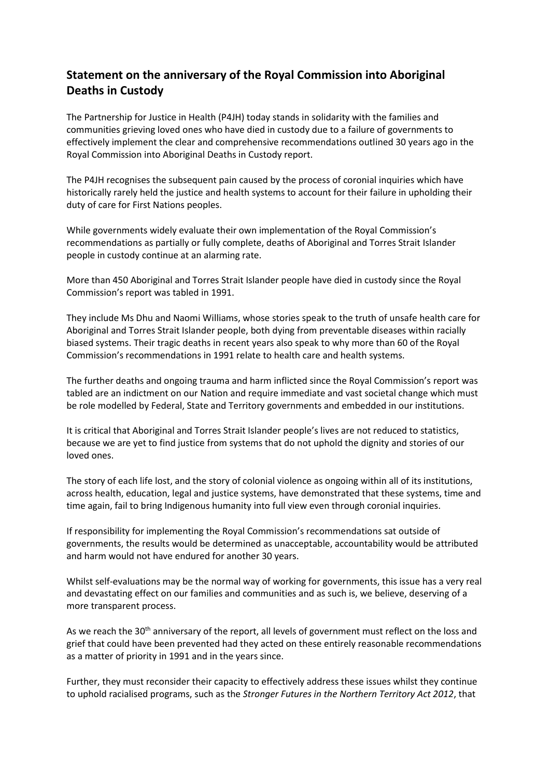# **Statement on the anniversary of the Royal Commission into Aboriginal Deaths in Custody**

The Partnership for Justice in Health (P4JH) today stands in solidarity with the families and communities grieving loved ones who have died in custody due to a failure of governments to effectively implement the clear and comprehensive recommendations outlined 30 years ago in the Royal Commission into Aboriginal Deaths in Custody report.

The P4JH recognises the subsequent pain caused by the process of coronial inquiries which have historically rarely held the justice and health systems to account for their failure in upholding their duty of care for First Nations peoples.

While governments widely evaluate their own implementation of the Royal Commission's recommendations as partially or fully complete, deaths of Aboriginal and Torres Strait Islander people in custody continue at an alarming rate.

More than 450 Aboriginal and Torres Strait Islander people have died in custody since the Royal Commission's report was tabled in 1991.

They include Ms Dhu and Naomi Williams, whose stories speak to the truth of unsafe health care for Aboriginal and Torres Strait Islander people, both dying from preventable diseases within racially biased systems. Their tragic deaths in recent years also speak to why more than 60 of the Royal Commission's recommendations in 1991 relate to health care and health systems.

The further deaths and ongoing trauma and harm inflicted since the Royal Commission's report was tabled are an indictment on our Nation and require immediate and vast societal change which must be role modelled by Federal, State and Territory governments and embedded in our institutions.

It is critical that Aboriginal and Torres Strait Islander people's lives are not reduced to statistics, because we are yet to find justice from systems that do not uphold the dignity and stories of our loved ones.

The story of each life lost, and the story of colonial violence as ongoing within all of its institutions, across health, education, legal and justice systems, have demonstrated that these systems, time and time again, fail to bring Indigenous humanity into full view even through coronial inquiries.

If responsibility for implementing the Royal Commission's recommendations sat outside of governments, the results would be determined as unacceptable, accountability would be attributed and harm would not have endured for another 30 years.

Whilst self-evaluations may be the normal way of working for governments, this issue has a very real and devastating effect on our families and communities and as such is, we believe, deserving of a more transparent process.

As we reach the 30<sup>th</sup> anniversary of the report, all levels of government must reflect on the loss and grief that could have been prevented had they acted on these entirely reasonable recommendations as a matter of priority in 1991 and in the years since.

Further, they must reconsider their capacity to effectively address these issues whilst they continue to uphold racialised programs, such as the *Stronger Futures in the Northern Territory Act 2012*, that